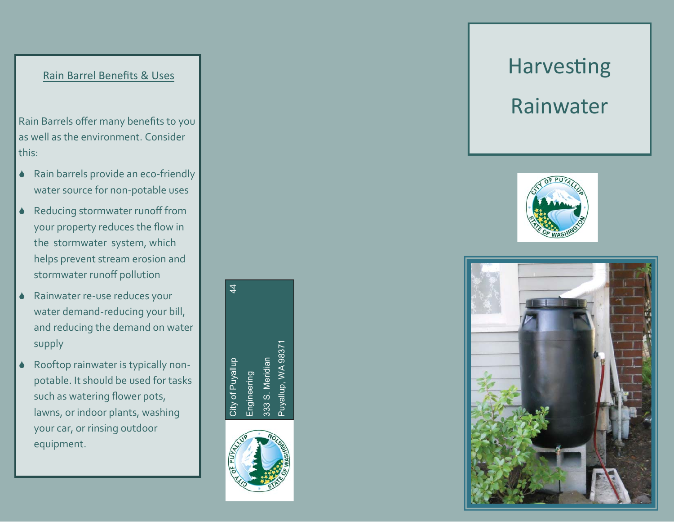## Rain Barrel Bene fits & Uses

Rain Barrels o ffer many bene fits to you as well as the environment. Consider this:

- $\blacklozenge$  Rain barrels provide an eco-friendly water source for non-potable uses
- ◆ Reducing stormwater runoff from your property reduces the flow in the stormwater system, which helps prevent stream erosion and stormwater runo ff pollution
- ◆ Rainwater re-use reduces your water demand-reducing your bill, and reducing the demand on water supply
- $\blacklozenge$  Rooftop rainwater is typically nonpotable. It should be used for tasks such as watering flower pots, lawns, or indoor plants, washing your car, or rinsing outdoor equipment.

City of Puyallup 44 Puyallup, WA 98371 Puyallup, WA 9837 333 S. Meridian 333 S. Meridian City of Puyallup Engineering Engineering

 $\frac{4}{7}$ 



# Harvesting Rainwater